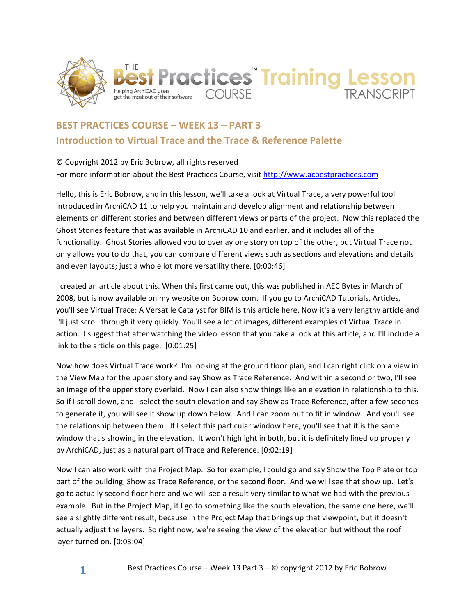

## **BEST PRACTICES COURSE – WEEK 13 – PART 3 Introduction to Virtual Trace and the Trace & Reference Palette**

© Copyright 2012 by Eric Bobrow, all rights reserved For more information about the Best Practices Course, visit http://www.acbestpractices.com

Hello, this is Eric Bobrow, and in this lesson, we'll take a look at Virtual Trace, a very powerful tool introduced in ArchiCAD 11 to help you maintain and develop alignment and relationship between elements on different stories and between different views or parts of the project. Now this replaced the Ghost Stories feature that was available in ArchiCAD 10 and earlier, and it includes all of the functionality. Ghost Stories allowed you to overlay one story on top of the other, but Virtual Trace not only allows you to do that, you can compare different views such as sections and elevations and details and even layouts; just a whole lot more versatility there. [0:00:46]

I created an article about this. When this first came out, this was published in AEC Bytes in March of 2008, but is now available on my website on Bobrow.com. If you go to ArchiCAD Tutorials, Articles, you'll see Virtual Trace: A Versatile Catalyst for BIM is this article here. Now it's a very lengthy article and I'll just scroll through it very quickly. You'll see a lot of images, different examples of Virtual Trace in action. I suggest that after watching the video lesson that you take a look at this article, and I'll include a link to the article on this page. [0:01:25]

Now how does Virtual Trace work? I'm looking at the ground floor plan, and I can right click on a view in the View Map for the upper story and say Show as Trace Reference. And within a second or two, I'll see an image of the upper story overlaid. Now I can also show things like an elevation in relationship to this. So if I scroll down, and I select the south elevation and say Show as Trace Reference, after a few seconds to generate it, you will see it show up down below. And I can zoom out to fit in window. And you'll see the relationship between them. If I select this particular window here, you'll see that it is the same window that's showing in the elevation. It won't highlight in both, but it is definitely lined up properly by ArchiCAD, just as a natural part of Trace and Reference. [0:02:19]

Now I can also work with the Project Map. So for example, I could go and say Show the Top Plate or top part of the building, Show as Trace Reference, or the second floor. And we will see that show up. Let's go to actually second floor here and we will see a result very similar to what we had with the previous example. But in the Project Map, if I go to something like the south elevation, the same one here, we'll see a slightly different result, because in the Project Map that brings up that viewpoint, but it doesn't actually adjust the layers. So right now, we're seeing the view of the elevation but without the roof layer turned on. [0:03:04]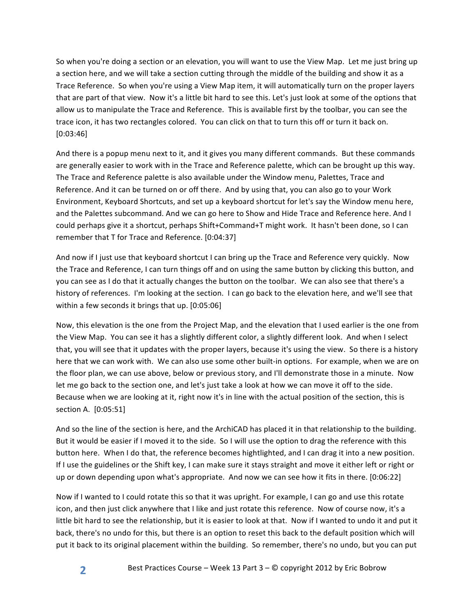So when you're doing a section or an elevation, you will want to use the View Map. Let me just bring up a section here, and we will take a section cutting through the middle of the building and show it as a Trace Reference. So when you're using a View Map item, it will automatically turn on the proper layers that are part of that view. Now it's a little bit hard to see this. Let's just look at some of the options that allow us to manipulate the Trace and Reference. This is available first by the toolbar, you can see the trace icon, it has two rectangles colored. You can click on that to turn this off or turn it back on. [0:03:46]

And there is a popup menu next to it, and it gives you many different commands. But these commands are generally easier to work with in the Trace and Reference palette, which can be brought up this way. The Trace and Reference palette is also available under the Window menu, Palettes, Trace and Reference. And it can be turned on or off there. And by using that, you can also go to your Work Environment, Keyboard Shortcuts, and set up a keyboard shortcut for let's say the Window menu here, and the Palettes subcommand. And we can go here to Show and Hide Trace and Reference here. And I could perhaps give it a shortcut, perhaps Shift+Command+T might work. It hasn't been done, so I can remember that T for Trace and Reference. [0:04:37]

And now if I just use that keyboard shortcut I can bring up the Trace and Reference very quickly. Now the Trace and Reference, I can turn things off and on using the same button by clicking this button, and you can see as I do that it actually changes the button on the toolbar. We can also see that there's a history of references. I'm looking at the section. I can go back to the elevation here, and we'll see that within a few seconds it brings that  $up.$  [0:05:06]

Now, this elevation is the one from the Project Map, and the elevation that I used earlier is the one from the View Map. You can see it has a slightly different color, a slightly different look. And when I select that, you will see that it updates with the proper layers, because it's using the view. So there is a history here that we can work with. We can also use some other built-in options. For example, when we are on the floor plan, we can use above, below or previous story, and I'll demonstrate those in a minute. Now let me go back to the section one, and let's just take a look at how we can move it off to the side. Because when we are looking at it, right now it's in line with the actual position of the section, this is section A. [0:05:51]

And so the line of the section is here, and the ArchiCAD has placed it in that relationship to the building. But it would be easier if I moved it to the side. So I will use the option to drag the reference with this button here. When I do that, the reference becomes hightlighted, and I can drag it into a new position. If I use the guidelines or the Shift key, I can make sure it stays straight and move it either left or right or up or down depending upon what's appropriate. And now we can see how it fits in there. [0:06:22]

Now if I wanted to I could rotate this so that it was upright. For example, I can go and use this rotate icon, and then just click anywhere that I like and just rotate this reference. Now of course now, it's a little bit hard to see the relationship, but it is easier to look at that. Now if I wanted to undo it and put it back, there's no undo for this, but there is an option to reset this back to the default position which will put it back to its original placement within the building. So remember, there's no undo, but you can put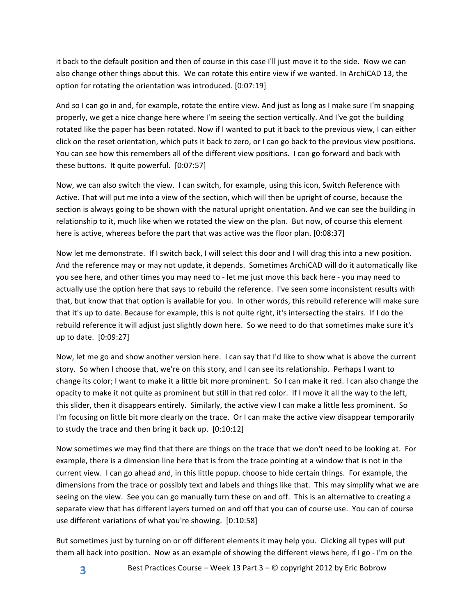it back to the default position and then of course in this case I'll just move it to the side. Now we can also change other things about this. We can rotate this entire view if we wanted. In ArchiCAD 13, the option for rotating the orientation was introduced. [0:07:19]

And so I can go in and, for example, rotate the entire view. And just as long as I make sure I'm snapping properly, we get a nice change here where I'm seeing the section vertically. And I've got the building rotated like the paper has been rotated. Now if I wanted to put it back to the previous view, I can either click on the reset orientation, which puts it back to zero, or I can go back to the previous view positions. You can see how this remembers all of the different view positions. I can go forward and back with these buttons. It quite powerful. [0:07:57]

Now, we can also switch the view. I can switch, for example, using this icon, Switch Reference with Active. That will put me into a view of the section, which will then be upright of course, because the section is always going to be shown with the natural upright orientation. And we can see the building in relationship to it, much like when we rotated the view on the plan. But now, of course this element here is active, whereas before the part that was active was the floor plan. [0:08:37]

Now let me demonstrate. If I switch back, I will select this door and I will drag this into a new position. And the reference may or may not update, it depends. Sometimes ArchiCAD will do it automatically like you see here, and other times you may need to - let me just move this back here - you may need to actually use the option here that says to rebuild the reference. I've seen some inconsistent results with that, but know that that option is available for you. In other words, this rebuild reference will make sure that it's up to date. Because for example, this is not quite right, it's intersecting the stairs. If I do the rebuild reference it will adjust just slightly down here. So we need to do that sometimes make sure it's up to date. [0:09:27]

Now, let me go and show another version here. I can say that I'd like to show what is above the current story. So when I choose that, we're on this story, and I can see its relationship. Perhaps I want to change its color; I want to make it a little bit more prominent. So I can make it red. I can also change the opacity to make it not quite as prominent but still in that red color. If I move it all the way to the left, this slider, then it disappears entirely. Similarly, the active view I can make a little less prominent. So I'm focusing on little bit more clearly on the trace. Or I can make the active view disappear temporarily to study the trace and then bring it back up.  $[0:10:12]$ 

Now sometimes we may find that there are things on the trace that we don't need to be looking at. For example, there is a dimension line here that is from the trace pointing at a window that is not in the current view. I can go ahead and, in this little popup. choose to hide certain things. For example, the dimensions from the trace or possibly text and labels and things like that. This may simplify what we are seeing on the view. See you can go manually turn these on and off. This is an alternative to creating a separate view that has different layers turned on and off that you can of course use. You can of course use different variations of what you're showing. [0:10:58]

But sometimes just by turning on or off different elements it may help you. Clicking all types will put them all back into position. Now as an example of showing the different views here, if I go - I'm on the